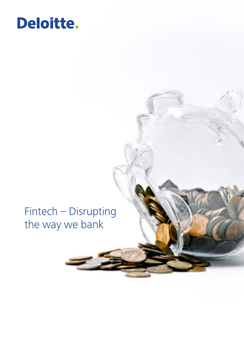# Deloitte.

# Fintech - Disrupting the way we bank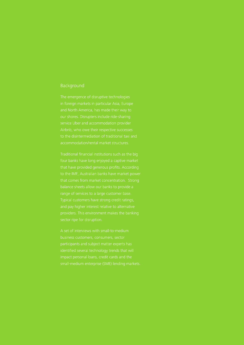## Background

and North America, has made their way to Airbnb, who owe their respective successes accommodation/rental market structures.

balance sheets allow our banks to provide a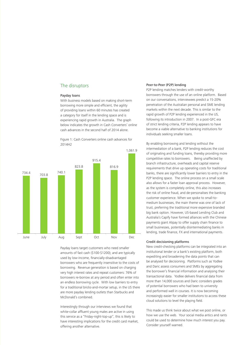### The disruptors

#### Payday loans

With business models based on making short-term borrowing more simple and efficient, the agility of providing loans within 60 minutes has created a category for itself in the lending space and is experiencing rapid growth in Australia. The graph below indicates the growth in Cash Converters' online cash advances in the second half of 2014 alone.

Figure 1: Cash Converters online cash advances for 2014H2



Payday loans target customers who need smaller amounts of fast cash (\$100-\$1200); and are typically used by low-income, financially-disadvantaged borrowers who are frequently insensitive to the costs of borrowing. Revenue generation is based on charging very high interest rates and repeat customers: 76% of borrowers re-borrow at any period and often enter into an endless borrowing cycle. With low barriers to entry for a traditional bricks-and-mortar setup, in the US there are more payday lending outlets than Starbucks and McDonald's combined.

Interestingly through our interviews we found that white-collar affluent young males are active in using this service as a "Friday-night-top-up", this is likely to have interesting implications for the credit card market, offering another alternative.

#### Peer-to-Peer (P2P) lending

P2P lending matches lenders with credit-worthy borrowers through the use of an online platform. Based on our conversations, interviewees predict a 15-20% penetration of the Australian personal and SME lending markets within the next decade. This is similar to the rapid growth of P2P lending experienced in the US, following its introduction in 2007. In a post-GFC era of strict lending criteria, P2P lending appears to have become a viable alternative to banking institutions for individuals seeking smaller loans.

By enabling borrowing and lending without the intermediation of a bank, P2P lending reduces the cost of originating and funding loans, thereby providing more competitive rates to borrowers. Being unaffected by branch infrastructure, overheads and capital reserve requirements that drive up operating costs for traditional banks, there are significantly lower barriers to entry in the P2P lending space. The online process on a small scale also allows for a faster loan approval process. However, as the system is completely online, this also increases the risk of online fraud, and de-personalises the banking customer experience. When we spoke to small-tomedium businesses, the main theme was one of lack of trust, preferring the traditional more expensive branded big bank option. However, US-based Lending Club and Australia's Capify have formed alliances with the Chinese payments giant Alipay to offer supply chain finance to small businesses, potentially disintermediating banks in lending, trade finance, FX and international payments.

#### Credit decisioning platforms

New credit-checking platforms can be integrated into an institutional lender or a bank's existing platform, both expediting and broadening the data points that can be analysed for decisioning. Platforms such as Yodlee and Daric assess consumers and SMEs by aggregating the borrower's financial information and analysing their transactional data. Yodlee delivers financial data from more than 14,000 sources and Daric considers grades of potential borrowers who had been to university and performed well in courses. It is now becoming increasingly easier for smaller institutions to access these cloud solutions to level the playing field.

This made us think twice about what we post online, or how we use the web. Your social media antics and rants could be used to determine how much interest you pay. Consider yourself warned.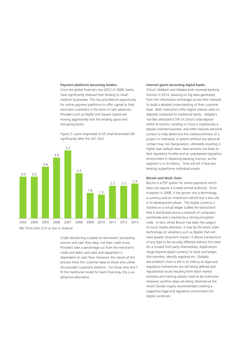#### Payment platforms becoming lenders

Since the global financial crisis (GFC) of 2008, banks have significantly reduced their lending to smallmedium businesses. This has provided an opportunity for online payment platforms to offer capital to their merchant customers in the form of cash advances. Providers such as PayPal and Square Capital are moving aggressively into the lending space and disrupting banks.



Figure 2: Loans originated to US small businesses fell significantly after the GFC (\$m)

Credit decisioning is based on borrowers' processing volume and cash flow data, not their credit score. Providers take a percentage cut from the merchant's credit and debit card sales and repayment is dependent on cash flow. However, the nature of this process limits the customer base to those who utilise the provider's payment platform. For those who don't fit the traditional model for bank financing, this is an attractive alternative.

#### Internet giants becoming digital banks

China's WeBank and Alibaba both received banking licences in 2014, drawing on big data generated from the information exchanges across their network to build a detailed understanding of their customer base. Both institutions offer higher interest rates on deposits compared to traditional banks. Alibaba's Yue Bao attracted 0.5% of China's total deposit within 8 months. Lending in China is traditionally a people-oriented business, and often requires personal contact to help determine the creditworthiness of a project or individual. A system without any personal contact may risk manipulation, ultimately resulting in higher loan default rates. New entrants are likely to face regulatory hurdles and an unprepared regulatory environment in obtaining banking licences, as the segment is in its infancy. Time will tell if face-less lending outperforms individual smarts.

#### Bitcoin and block chain

Bitcoin is a P2P system for online payments which does not require a trusted central authority. Since inception in 2008, it has grown into a technology, a currency and an investment vehicle but is also still in its development phase. The digital currency is tracked on a virtual ledger (called the blockchain) that is distributed across a network of computers worldwide and is backed by a strong encryption code. In fact, whilst Bitcoin has been the subject of much media attention, it may be the block chain technology (or variations such as Ripple) that will have greater long-term impact. It allows transactions of any type to be securely effected without the need for a trusted third party intermediary. Applications range beyond digital currency to stock exchanges, title transfers, identify registries etc. Globally, bitcoin/block chain is still in its infancy as legal and regulatory frameworks are still being defined and reputational issues resulting from black market activities and hacking attacks need to be overcome. However, positive steps are being observed as the recent Senate inquiry recommended creating a supportive legal and regulatory environment for digital currencies.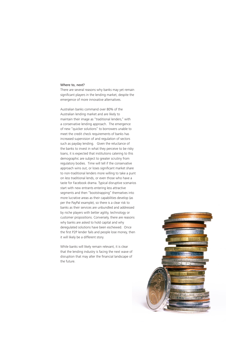#### Where to, next?

There are several reasons why banks may yet remain significant players in the lending market, despite the emergence of more innovative alternatives.

Australian banks command over 80% of the Australian lending market and are likely to maintain their image as "traditional lenders," with a conservative lending approach. The emergence of new "quicker solutions" to borrowers unable to meet the credit check requirements of banks has increased supervision of and regulation of sectors such as payday lending. Given the reluctance of the banks to invest in what they perceive to be risky loans, it is expected that institutions catering to this demographic are subject to greater scrutiny from regulatory bodies. Time will tell if the conservative approach wins out, or loses significant market share to non-traditional lenders more willing to take a punt on less traditional lends, or even those who have a taste for Facebook drama. Typical disruptive scenarios start with new entrants entering less attractive segments and then "bootstrapping" themselves into more lucrative areas as their capabilities develop (as per the PayPal example), so there is a clear risk to banks as their services are unbundled and addressed by niche players with better agility, technology or customer propositions. Conversely, there are reasons why banks are asked to hold capital and why deregulated solutions have been eschewed. Once the first P2P lender fails and people lose money, then it will likely be a different story.

While banks will likely remain relevant, it is clear that the lending industry is facing the next wave of disruption that may alter the financial landscape of the future.

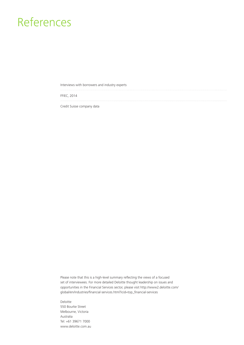# References

Interviews with borrowers and industry experts

FFIEC, 2014

Credit Suisse company data

Please note that this is a high-level summary reflecting the views of a focused set of interviewees. For more detailed Deloitte thought leadership on issues and opportunities in the Financial Services sector, please visit http://www2.deloitte.com/ global/en/industries/financial-services.html?icid=top\_financial-services

Deloitte 550 Bourke Street Melbourne, Victoria Australia Tel: +61 39671 7000 www.deloitte.com.au